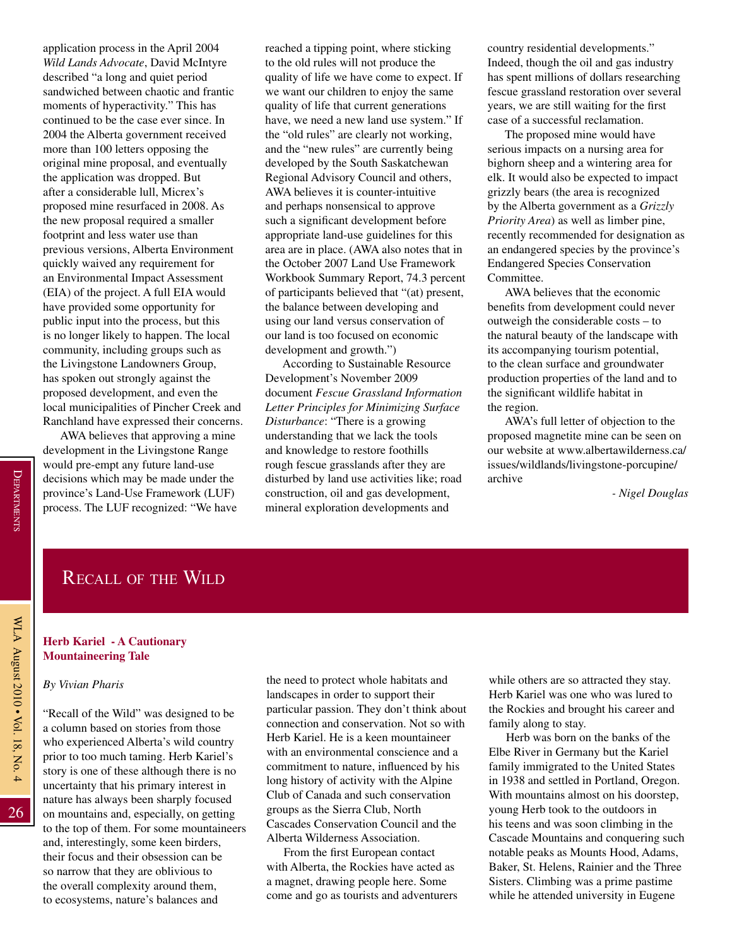26

## Recall of the Wild

#### **Herb Kariel - A Cautionary Mountaineering Tale**

*By Vivian Pharis*

"Recall of the Wild" was designed to be a column based on stories from those who experienced Alberta's wild country prior to too much taming. Herb Kariel's story is one of these although there is no uncertainty that his primary interest in nature has always been sharply focused on mountains and, especially, on getting to the top of them. For some mountaineers and, interestingly, some keen birders, their focus and their obsession can be so narrow that they are oblivious to the overall complexity around them, to ecosystems, nature's balances and

the need to protect whole habitats and landscapes in order to support their particular passion. They don't think about connection and conservation. Not so with Herb Kariel. He is a keen mountaineer with an environmental conscience and a commitment to nature, influenced by his long history of activity with the Alpine Club of Canada and such conservation groups as the Sierra Club, North Cascades Conservation Council and the Alberta Wilderness Association.

From the first European contact with Alberta, the Rockies have acted as a magnet, drawing people here. Some come and go as tourists and adventurers while others are so attracted they stay. Herb Kariel was one who was lured to the Rockies and brought his career and family along to stay.

Herb was born on the banks of the Elbe River in Germany but the Kariel family immigrated to the United States in 1938 and settled in Portland, Oregon. With mountains almost on his doorstep, young Herb took to the outdoors in his teens and was soon climbing in the Cascade Mountains and conquering such notable peaks as Mounts Hood, Adams, Baker, St. Helens, Rainier and the Three Sisters. Climbing was a prime pastime while he attended university in Eugene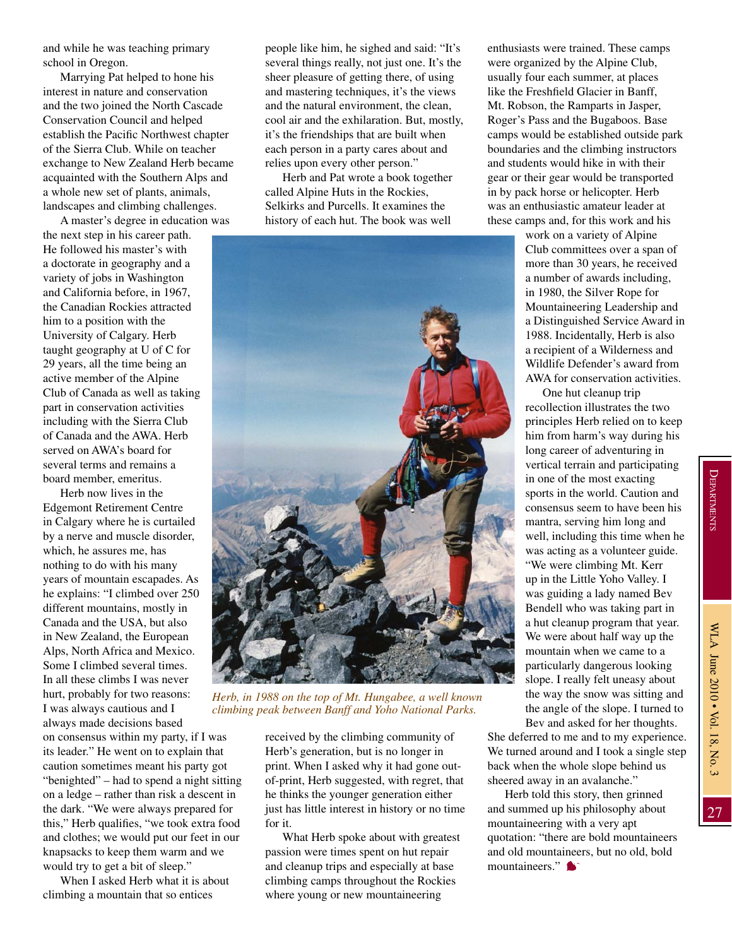and while he was teaching primary school in Oregon.

Marrying Pat helped to hone his interest in nature and conservation and the two joined the North Cascade Conservation Council and helped establish the Pacific Northwest chapter of the Sierra Club. While on teacher exchange to New Zealand Herb became acquainted with the Southern Alps and a whole new set of plants, animals, landscapes and climbing challenges.

A master's degree in education was the next step in his career path. He followed his master's with a doctorate in geography and a variety of jobs in Washington and California before, in 1967, the Canadian Rockies attracted him to a position with the University of Calgary. Herb taught geography at U of C for 29 years, all the time being an active member of the Alpine Club of Canada as well as taking part in conservation activities including with the Sierra Club of Canada and the AWA. Herb served on AWA's board for several terms and remains a board member, emeritus.

Herb now lives in the Edgemont Retirement Centre in Calgary where he is curtailed by a nerve and muscle disorder, which, he assures me, has nothing to do with his many years of mountain escapades. As he explains: "I climbed over 250 different mountains, mostly in Canada and the USA, but also in New Zealand, the European Alps, North Africa and Mexico. Some I climbed several times. In all these climbs I was never hurt, probably for two reasons: I was always cautious and I always made decisions based

on consensus within my party, if I was its leader." He went on to explain that caution sometimes meant his party got "benighted" – had to spend a night sitting on a ledge – rather than risk a descent in the dark. "We were always prepared for this," Herb qualifies, "we took extra food and clothes; we would put our feet in our knapsacks to keep them warm and we would try to get a bit of sleep."

When I asked Herb what it is about climbing a mountain that so entices

people like him, he sighed and said: "It's several things really, not just one. It's the sheer pleasure of getting there, of using and mastering techniques, it's the views and the natural environment, the clean, cool air and the exhilaration. But, mostly, it's the friendships that are built when each person in a party cares about and relies upon every other person."

Herb and Pat wrote a book together called Alpine Huts in the Rockies, Selkirks and Purcells. It examines the history of each hut. The book was well



*Herb, in 1988 on the top of Mt. Hungabee, a well known climbing peak between Banff and Yoho National Parks.* 

received by the climbing community of Herb's generation, but is no longer in print. When I asked why it had gone outof-print, Herb suggested, with regret, that he thinks the younger generation either just has little interest in history or no time for it.

What Herb spoke about with greatest passion were times spent on hut repair and cleanup trips and especially at base climbing camps throughout the Rockies where young or new mountaineering

enthusiasts were trained. These camps were organized by the Alpine Club, usually four each summer, at places like the Freshfield Glacier in Banff, Mt. Robson, the Ramparts in Jasper, Roger's Pass and the Bugaboos. Base camps would be established outside park boundaries and the climbing instructors and students would hike in with their gear or their gear would be transported in by pack horse or helicopter. Herb was an enthusiastic amateur leader at these camps and, for this work and his

> work on a variety of Alpine Club committees over a span of more than 30 years, he received a number of awards including, in 1980, the Silver Rope for Mountaineering Leadership and a Distinguished Service Award in 1988. Incidentally, Herb is also a recipient of a Wilderness and Wildlife Defender's award from AWA for conservation activities.

> One hut cleanup trip recollection illustrates the two principles Herb relied on to keep him from harm's way during his long career of adventuring in vertical terrain and participating in one of the most exacting sports in the world. Caution and consensus seem to have been his mantra, serving him long and well, including this time when he was acting as a volunteer guide. "We were climbing Mt. Kerr

up in the Little Yoho Valley. I was guiding a lady named Bev Bendell who was taking part in a hut cleanup program that year. We were about half way up the mountain when we came to a particularly dangerous looking slope. I really felt uneasy about the way the snow was sitting and the angle of the slope. I turned to Bev and asked for her thoughts.

She deferred to me and to my experience. We turned around and I took a single step back when the whole slope behind us sheered away in an avalanche."

Herb told this story, then grinned and summed up his philosophy about mountaineering with a very apt quotation: "there are bold mountaineers and old mountaineers, but no old, bold mountaineers."